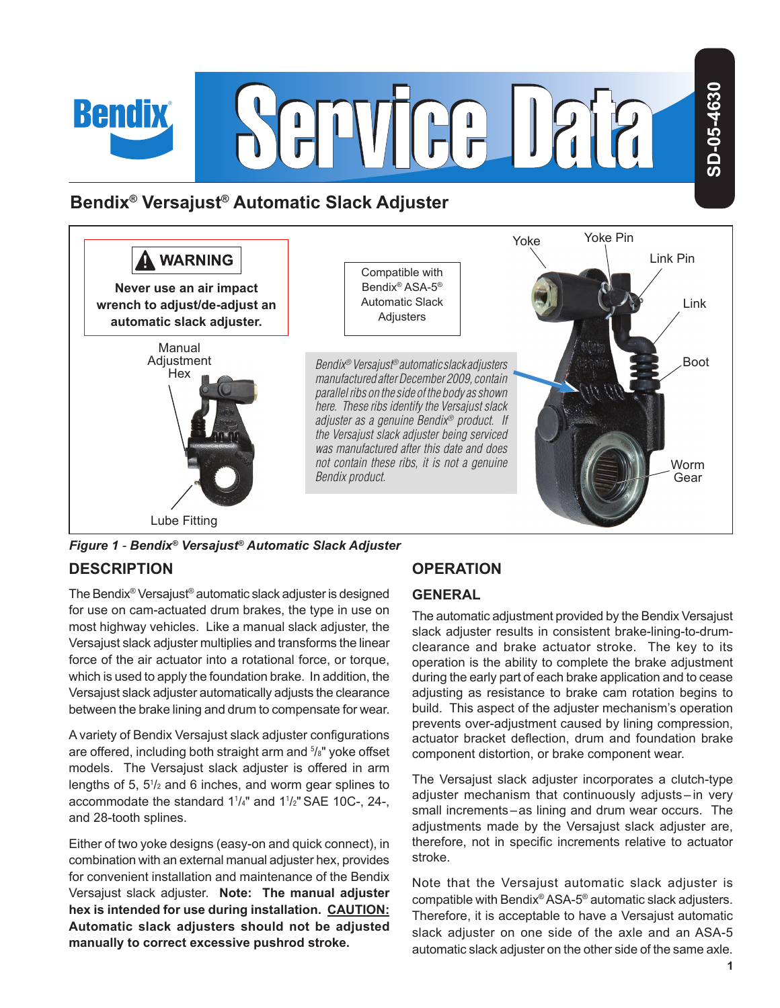

## **Bendix® Versajust® Automatic Slack Adjuster**



*Figure 1 - Bendix® Versajust® Automatic Slack Adjuster*

## **DESCRIPTION**

**Bendix** 

The Bendix® Versajust® automatic slack adjuster is designed for use on cam-actuated drum brakes, the type in use on most highway vehicles. Like a manual slack adjuster, the Versajust slack adjuster multiplies and transforms the linear force of the air actuator into a rotational force, or torque, which is used to apply the foundation brake. In addition, the Versajust slack adjuster automatically adjusts the clearance between the brake lining and drum to compensate for wear.

A variety of Bendix Versajust slack adjuster configurations are offered, including both straight arm and <sup>5</sup>/<sub>8</sub>" yoke offset models. The Versajust slack adjuster is offered in arm lengths of 5, 5<sup>1</sup> /2 and 6 inches, and worm gear splines to accommodate the standard 1<sup>1</sup> /4" and 1<sup>1</sup> /2" SAE 10C-, 24-, and 28-tooth splines.

Either of two yoke designs (easy-on and quick connect), in combination with an external manual adjuster hex, provides for convenient installation and maintenance of the Bendix Versajust slack adjuster. **Note: The manual adjuster hex is intended for use during installation. CAUTION: Automatic slack adjusters should not be adjusted manually to correct excessive pushrod stroke.**

## **OPERATION**

#### **GENERAL**

The automatic adjustment provided by the Bendix Versajust slack adjuster results in consistent brake-lining-to-drumclearance and brake actuator stroke. The key to its operation is the ability to complete the brake adjustment during the early part of each brake application and to cease adjusting as resistance to brake cam rotation begins to build. This aspect of the adjuster mechanism's operation prevents over-adjustment caused by lining compression, actuator bracket deflection, drum and foundation brake component distortion, or brake component wear.

The Versajust slack adjuster incorporates a clutch-type adjuster mechanism that continuously adjusts – in very small increments–as lining and drum wear occurs. The adjustments made by the Versajust slack adjuster are, therefore, not in specific increments relative to actuator stroke.

Note that the Versajust automatic slack adjuster is compatible with Bendix® ASA-5® automatic slack adjusters. Therefore, it is acceptable to have a Versajust automatic slack adjuster on one side of the axle and an ASA-5 automatic slack adjuster on the other side of the same axle.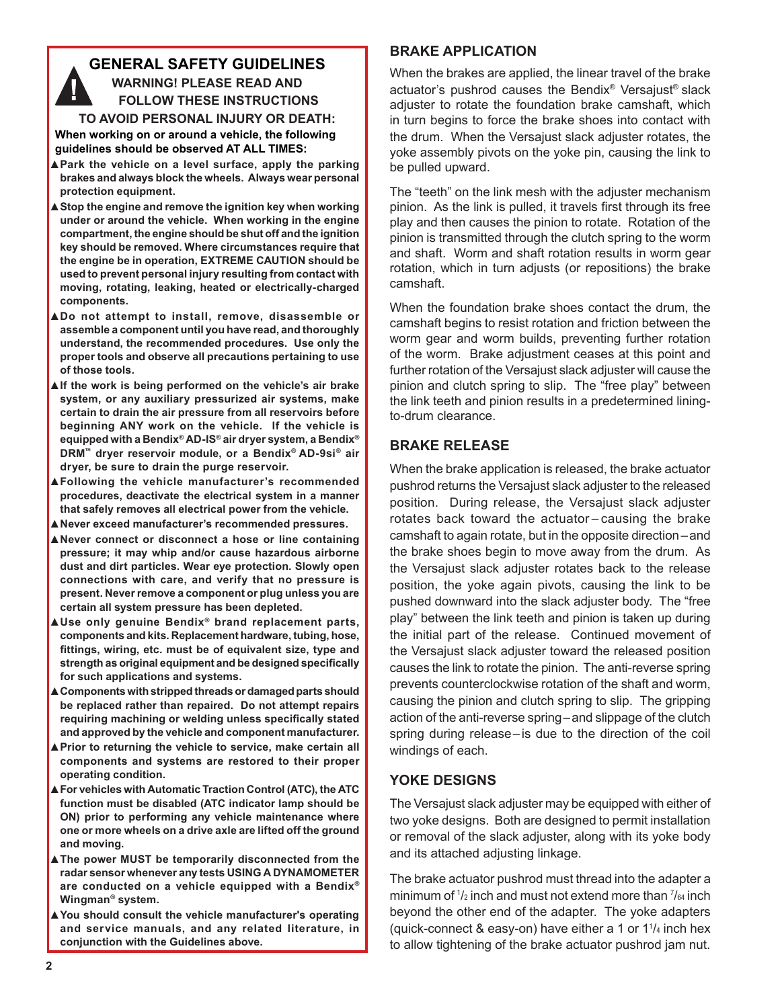#### **GENERAL SAFETY GUIDELINES WARNING! PLEASE READ AND FOLLOW THESE INSTRUCTIONS TO AVOID PERSONAL INJURY OR DEATH:**

**When working on or around a vehicle, the following guidelines should be observed AT ALL TIMES:**

- **▲Park the vehicle on a level surface, apply the parking brakes and always block the wheels. Always wear personal protection equipment.**
- **▲Stop the engine and remove the ignition key when working under or around the vehicle. When working in the engine compartment, the engine should be shut off and the ignition key should be removed. Where circumstances require that the engine be in operation, EXTREME CAUTION should be used to prevent personal injury resulting from contact with moving, rotating, leaking, heated or electrically-charged components.**
- **▲Do not attempt to install, remove, disassemble or assemble a component until you have read, and thoroughly understand, the recommended procedures. Use only the proper tools and observe all precautions pertaining to use of those tools.**
- **▲If the work is being performed on the vehicle's air brake system, or any auxiliary pressurized air systems, make certain to drain the air pressure from all reservoirs before beginning ANY work on the vehicle. If the vehicle is equipped with a Bendix® AD-IS® air dryer system, a Bendix® DRM™ dryer reservoir module, or a Bendix® AD-9si® air dryer, be sure to drain the purge reservoir.**
- **▲ Following the vehicle manufacturer's recommended procedures, deactivate the electrical system in a manner that safely removes all electrical power from the vehicle.**
- **▲Never exceed manufacturer's recommended pressures.**
- **▲Never connect or disconnect a hose or line containing pressure; it may whip and/or cause hazardous airborne dust and dirt particles. Wear eye protection. Slowly open connections with care, and verify that no pressure is present. Never remove a component or plug unless you are certain all system pressure has been depleted.**
- **▲ Use only genuine Bendix® brand replacement parts, components and kits. Replacement hardware, tubing, hose, fi ttings, wiring, etc. must be of equivalent size, type and strength as original equipment and be designed specifically for such applications and systems.**
- **A** Components with stripped threads or damaged parts should **be replaced rather than repaired. Do not attempt repairs requiring machining or welding unless specifically stated and approved by the vehicle and component manufacturer.**
- **▲Prior to returning the vehicle to service, make certain all components and systems are restored to their proper operating condition.**
- **▲ For vehicles with Automatic Traction Control (ATC), the ATC function must be disabled (ATC indicator lamp should be ON) prior to performing any vehicle maintenance where one or more wheels on a drive axle are lifted off the ground and moving.**
- **▲The power MUST be temporarily disconnected from the radar sensor whenever any tests USING A DYNAMOMETER are conducted on a vehicle equipped with a Bendix® Wingman® system.**
- **▲You should consult the vehicle manufacturer's operating and service manuals, and any related literature, in conjunction with the Guidelines above.**

#### **BRAKE APPLICATION**

When the brakes are applied, the linear travel of the brake actuator's pushrod causes the Bendix® Versajust® slack adjuster to rotate the foundation brake camshaft, which in turn begins to force the brake shoes into contact with the drum. When the Versajust slack adjuster rotates, the yoke assembly pivots on the yoke pin, causing the link to be pulled upward.

The "teeth" on the link mesh with the adjuster mechanism pinion. As the link is pulled, it travels first through its free play and then causes the pinion to rotate. Rotation of the pinion is transmitted through the clutch spring to the worm and shaft. Worm and shaft rotation results in worm gear rotation, which in turn adjusts (or repositions) the brake camshaft.

When the foundation brake shoes contact the drum, the camshaft begins to resist rotation and friction between the worm gear and worm builds, preventing further rotation of the worm. Brake adjustment ceases at this point and further rotation of the Versajust slack adjuster will cause the pinion and clutch spring to slip. The "free play" between the link teeth and pinion results in a predetermined liningto-drum clearance.

#### **BRAKE RELEASE**

When the brake application is released, the brake actuator pushrod returns the Versajust slack adjuster to the released position. During release, the Versajust slack adjuster rotates back toward the actuator – causing the brake camshaft to again rotate, but in the opposite direction–and the brake shoes begin to move away from the drum. As the Versajust slack adjuster rotates back to the release position, the yoke again pivots, causing the link to be pushed downward into the slack adjuster body. The "free play" between the link teeth and pinion is taken up during the initial part of the release. Continued movement of the Versajust slack adjuster toward the released position causes the link to rotate the pinion. The anti-reverse spring prevents counterclockwise rotation of the shaft and worm, causing the pinion and clutch spring to slip. The gripping action of the anti-reverse spring–and slippage of the clutch spring during release–is due to the direction of the coil windings of each.

#### **YOKE DESIGNS**

The Versajust slack adjuster may be equipped with either of two yoke designs. Both are designed to permit installation or removal of the slack adjuster, along with its yoke body and its attached adjusting linkage.

The brake actuator pushrod must thread into the adapter a minimum of 1/2 inch and must not extend more than 7/64 inch beyond the other end of the adapter. The yoke adapters (quick-connect & easy-on) have either a 1 or 1<sup>1</sup> /4 inch hex to allow tightening of the brake actuator pushrod jam nut.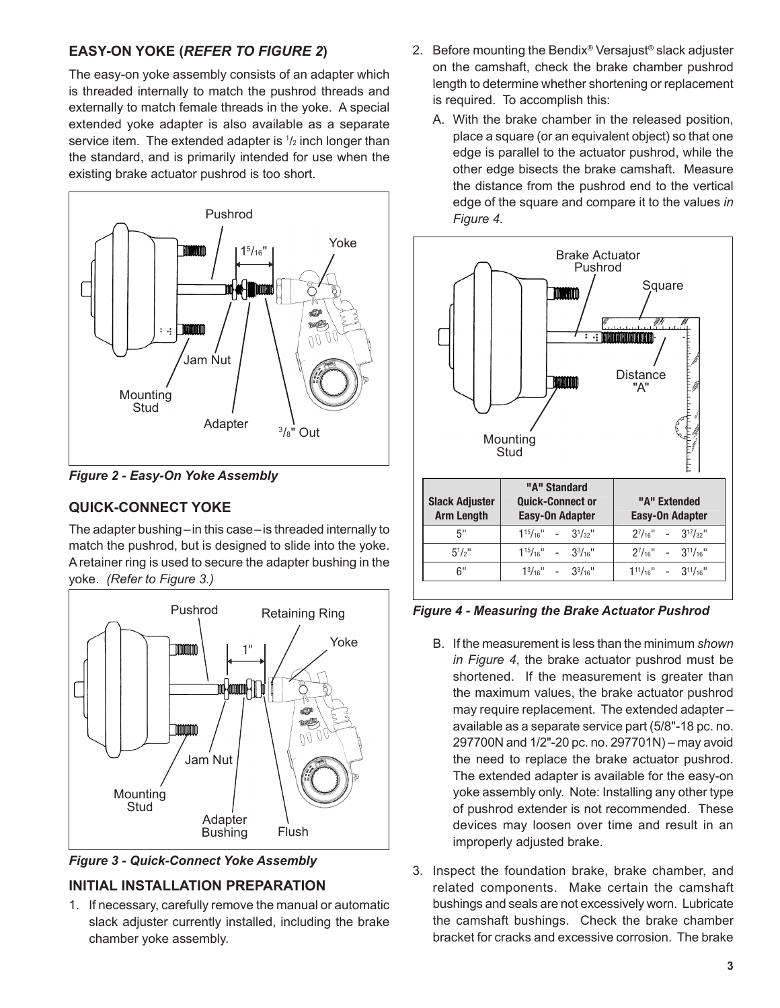## **EASY-ON YOKE (***REFER TO FIGURE 2***)**

The easy-on yoke assembly consists of an adapter which is threaded internally to match the pushrod threads and externally to match female threads in the yoke. A special extended yoke adapter is also available as a separate service item. The extended adapter is  $1/2$  inch longer than the standard, and is primarily intended for use when the existing brake actuator pushrod is too short.



*Figure 2 - Easy-On Yoke Assembly*

## **QUICK-CONNECT YOKE**

The adapter bushing–in this case–is threaded internally to match the pushrod, but is designed to slide into the yoke. A retainer ring is used to secure the adapter bushing in the yoke. *(Refer to Figure 3.)*





#### **INITIAL INSTALLATION PREPARATION**

1. If necessary, carefully remove the manual or automatic slack adjuster currently installed, including the brake chamber yoke assembly.

- 2. Before mounting the Bendix® Versajust® slack adjuster on the camshaft, check the brake chamber pushrod length to determine whether shortening or replacement is required. To accomplish this:
	- A. With the brake chamber in the released position, place a square (or an equivalent object) so that one edge is parallel to the actuator pushrod, while the other edge bisects the brake camshaft. Measure the distance from the pushrod end to the vertical edge of the square and compare it to the values *in Figure 4.*



*Figure 4 - Measuring the Brake Actuator Pushrod*

- B. If the measurement is less than the minimum *shown in Figure 4*, the brake actuator pushrod must be shortened. If the measurement is greater than the maximum values, the brake actuator pushrod may require replacement. The extended adapter – available as a separate service part (5/8"-18 pc. no. 297700N and 1/2"-20 pc. no. 297701N) – may avoid the need to replace the brake actuator pushrod. The extended adapter is available for the easy-on yoke assembly only. Note: Installing any other type of pushrod extender is not recommended. These devices may loosen over time and result in an improperly adjusted brake.
- 3. Inspect the foundation brake, brake chamber, and related components. Make certain the camshaft bushings and seals are not excessively worn. Lubricate the camshaft bushings. Check the brake chamber bracket for cracks and excessive corrosion. The brake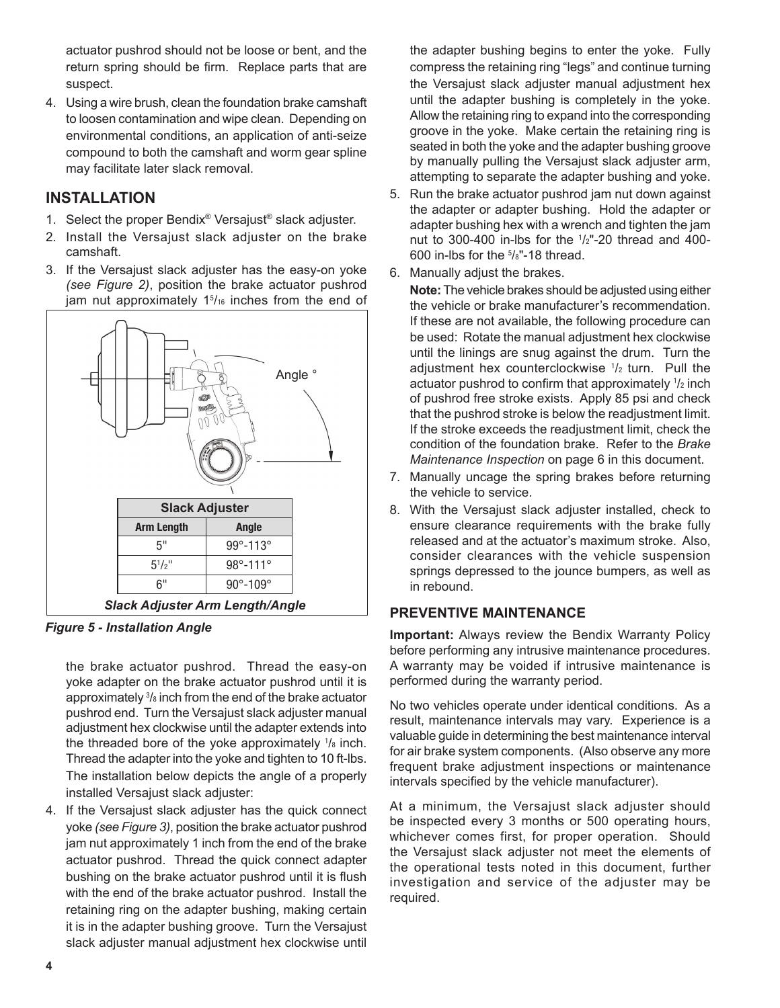actuator pushrod should not be loose or bent, and the return spring should be firm. Replace parts that are suspect.

4. Using a wire brush, clean the foundation brake camshaft to loosen contamination and wipe clean. Depending on environmental conditions, an application of anti-seize compound to both the camshaft and worm gear spline may facilitate later slack removal.

#### **INSTALLATION**

- 1. Select the proper Bendix® Versajust® slack adjuster.
- 2. Install the Versajust slack adjuster on the brake camshaft.
- 3. If the Versajust slack adjuster has the easy-on yoke *(see Figure 2)*, position the brake actuator pushrod jam nut approximately 1<sup>5</sup>/<sub>16</sub> inches from the end of



*Figure 5 - Installation Angle*

the brake actuator pushrod. Thread the easy-on yoke adapter on the brake actuator pushrod until it is approximately <sup>3</sup> /8 inch from the end of the brake actuator pushrod end. Turn the Versajust slack adjuster manual adjustment hex clockwise until the adapter extends into the threaded bore of the yoke approximately <sup>1</sup> /8 inch. Thread the adapter into the yoke and tighten to 10 ft-lbs. The installation below depicts the angle of a properly installed Versajust slack adjuster:

4. If the Versajust slack adjuster has the quick connect yoke *(see Figure 3)*, position the brake actuator pushrod jam nut approximately 1 inch from the end of the brake actuator pushrod. Thread the quick connect adapter bushing on the brake actuator pushrod until it is flush with the end of the brake actuator pushrod. Install the retaining ring on the adapter bushing, making certain it is in the adapter bushing groove. Turn the Versajust slack adjuster manual adjustment hex clockwise until the adapter bushing begins to enter the yoke. Fully compress the retaining ring "legs" and continue turning the Versajust slack adjuster manual adjustment hex until the adapter bushing is completely in the yoke. Allow the retaining ring to expand into the corresponding groove in the yoke. Make certain the retaining ring is seated in both the yoke and the adapter bushing groove by manually pulling the Versajust slack adjuster arm, attempting to separate the adapter bushing and yoke.

- 5. Run the brake actuator pushrod jam nut down against the adapter or adapter bushing. Hold the adapter or adapter bushing hex with a wrench and tighten the jam nut to 300-400 in-lbs for the <sup>1</sup> /2"-20 thread and 400- 600 in-lbs for the  $5\frac{1}{8}$ "-18 thread.
- 6. Manually adjust the brakes.

**Note:** The vehicle brakes should be adjusted using either the vehicle or brake manufacturer's recommendation. If these are not available, the following procedure can be used: Rotate the manual adjustment hex clockwise until the linings are snug against the drum. Turn the adjustment hex counterclockwise <sup>1</sup> /2 turn. Pull the actuator pushrod to confirm that approximately  $1/2$  inch of pushrod free stroke exists. Apply 85 psi and check that the pushrod stroke is below the readjustment limit. If the stroke exceeds the readjustment limit, check the condition of the foundation brake. Refer to the *Brake Maintenance Inspection* on page 6 in this document.

- 7. Manually uncage the spring brakes before returning the vehicle to service.
- 8. With the Versajust slack adjuster installed, check to ensure clearance requirements with the brake fully released and at the actuator's maximum stroke. Also, consider clearances with the vehicle suspension springs depressed to the jounce bumpers, as well as in rebound.

#### **PREVENTIVE MAINTENANCE**

**Important:** Always review the Bendix Warranty Policy before performing any intrusive maintenance procedures. A warranty may be voided if intrusive maintenance is performed during the warranty period.

No two vehicles operate under identical conditions. As a result, maintenance intervals may vary. Experience is a valuable guide in determining the best maintenance interval for air brake system components. (Also observe any more frequent brake adjustment inspections or maintenance intervals specified by the vehicle manufacturer).

At a minimum, the Versajust slack adjuster should be inspected every 3 months or 500 operating hours, whichever comes first, for proper operation. Should the Versajust slack adjuster not meet the elements of the operational tests noted in this document, further investigation and service of the adjuster may be required.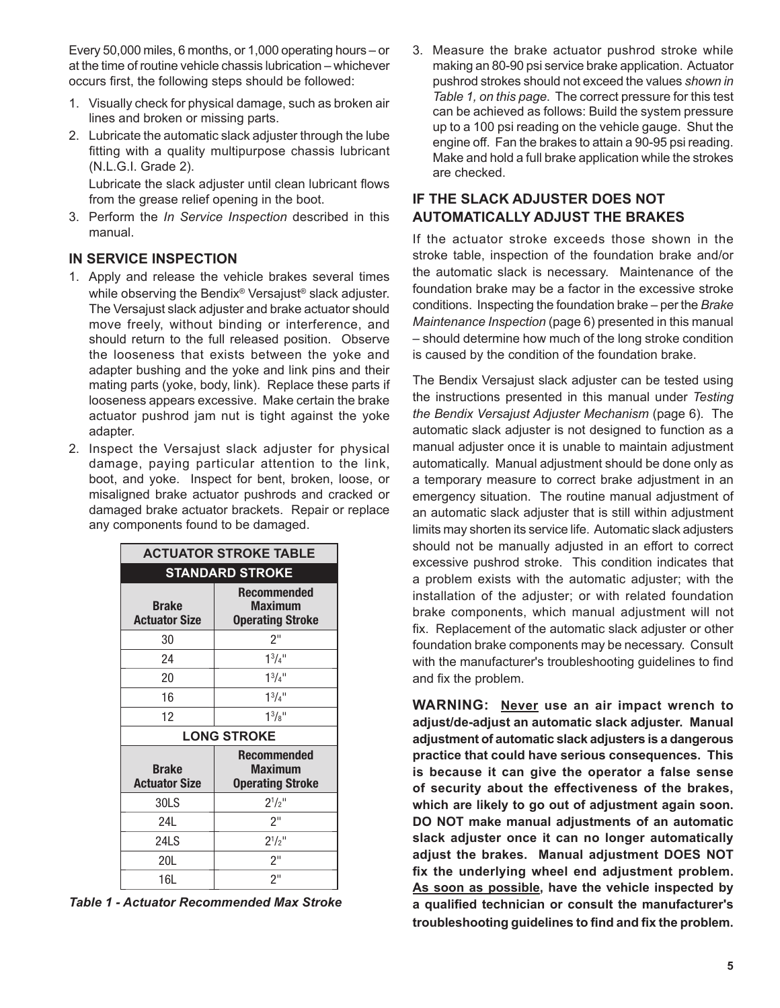Every 50,000 miles, 6 months, or 1,000 operating hours – or at the time of routine vehicle chassis lubrication – whichever occurs first, the following steps should be followed:

- 1. Visually check for physical damage, such as broken air lines and broken or missing parts.
- 2. Lubricate the automatic slack adjuster through the lube fitting with a quality multipurpose chassis lubricant (N.L.G.I. Grade 2).

Lubricate the slack adjuster until clean lubricant flows from the grease relief opening in the boot.

3. Perform the *In Service Inspection* described in this manual.

#### **IN SERVICE INSPECTION**

- 1. Apply and release the vehicle brakes several times while observing the Bendix® Versajust® slack adjuster. The Versajust slack adjuster and brake actuator should move freely, without binding or interference, and should return to the full released position. Observe the looseness that exists between the yoke and adapter bushing and the yoke and link pins and their mating parts (yoke, body, link). Replace these parts if looseness appears excessive. Make certain the brake actuator pushrod jam nut is tight against the yoke adapter.
- 2. Inspect the Versajust slack adjuster for physical damage, paying particular attention to the link, boot, and yoke. Inspect for bent, broken, loose, or misaligned brake actuator pushrods and cracked or damaged brake actuator brackets. Repair or replace any components found to be damaged.

| <b>ACTUATOR STROKE TABLE</b>         |                                                                 |  |  |  |  |
|--------------------------------------|-----------------------------------------------------------------|--|--|--|--|
| <b>STANDARD STROKE</b>               |                                                                 |  |  |  |  |
| <b>Brake</b><br><b>Actuator Size</b> | <b>Recommended</b><br><b>Maximum</b><br><b>Operating Stroke</b> |  |  |  |  |
| 30                                   | 2"                                                              |  |  |  |  |
| 24                                   | $1^{3}/4$ "                                                     |  |  |  |  |
| 20                                   | $1^{3}/4$ <sup>11</sup>                                         |  |  |  |  |
| 16                                   | $1^3/4$ "                                                       |  |  |  |  |
| 12                                   | $1^{3}/8$ "                                                     |  |  |  |  |
| <b>LONG STROKE</b>                   |                                                                 |  |  |  |  |
| <b>Brake</b><br><b>Actuator Size</b> | <b>Recommended</b><br><b>Maximum</b><br><b>Operating Stroke</b> |  |  |  |  |
| 30LS                                 | $2^{1/2}$ "                                                     |  |  |  |  |
| 24L                                  | 2"                                                              |  |  |  |  |
| 24LS                                 | $2^{1}/2$ "                                                     |  |  |  |  |
| 20L                                  | 2"                                                              |  |  |  |  |
| 16L                                  | 2"                                                              |  |  |  |  |

*Table 1 - Actuator Recommended Max Stroke*

3. Measure the brake actuator pushrod stroke while making an 80-90 psi service brake application. Actuator pushrod strokes should not exceed the values *shown in Table 1, on this page*. The correct pressure for this test can be achieved as follows: Build the system pressure up to a 100 psi reading on the vehicle gauge. Shut the engine off. Fan the brakes to attain a 90-95 psi reading. Make and hold a full brake application while the strokes are checked.

## **IF THE SLACK ADJUSTER DOES NOT AUTOMATICALLY ADJUST THE BRAKES**

If the actuator stroke exceeds those shown in the stroke table, inspection of the foundation brake and/or the automatic slack is necessary. Maintenance of the foundation brake may be a factor in the excessive stroke conditions. Inspecting the foundation brake – per the *Brake Maintenance Inspection* (page 6) presented in this manual – should determine how much of the long stroke condition is caused by the condition of the foundation brake.

The Bendix Versajust slack adjuster can be tested using the instructions presented in this manual under *Testing the Bendix Versajust Adjuster Mechanism* (page 6)*.* The automatic slack adjuster is not designed to function as a manual adjuster once it is unable to maintain adjustment automatically. Manual adjustment should be done only as a temporary measure to correct brake adjustment in an emergency situation. The routine manual adjustment of an automatic slack adjuster that is still within adjustment limits may shorten its service life. Automatic slack adjusters should not be manually adjusted in an effort to correct excessive pushrod stroke. This condition indicates that a problem exists with the automatic adjuster; with the installation of the adjuster; or with related foundation brake components, which manual adjustment will not fix. Replacement of the automatic slack adjuster or other foundation brake components may be necessary. Consult with the manufacturer's troubleshooting guidelines to find and fix the problem.

**WARNING: Never use an air impact wrench to adjust/de-adjust an automatic slack adjuster. Manual adjustment of automatic slack adjusters is a dangerous practice that could have serious consequences. This is because it can give the operator a false sense of security about the effectiveness of the brakes, which are likely to go out of adjustment again soon. DO NOT make manual adjustments of an automatic slack adjuster once it can no longer automatically adjust the brakes. Manual adjustment DOES NOT fix the underlying wheel end adjustment problem. As soon as possible, have the vehicle inspected by a qualified technician or consult the manufacturer's troubleshooting guidelines to find and fix the problem.**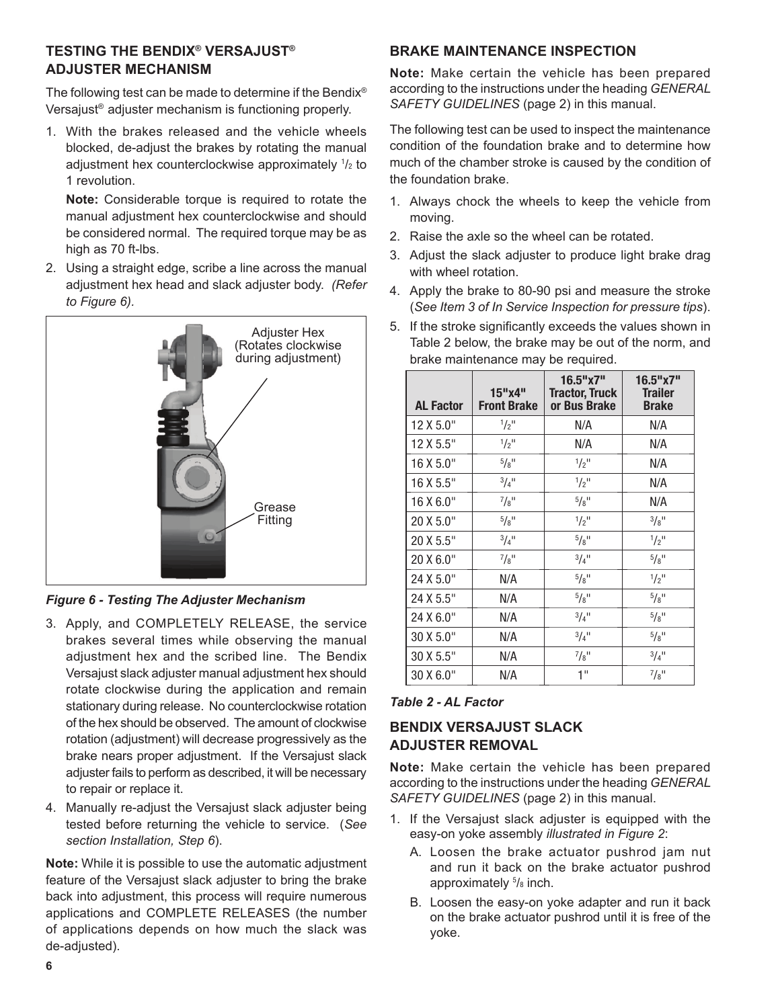## **TESTING THE BENDIX® VERSAJUST® ADJUSTER MECHANISM**

The following test can be made to determine if the Bendix® Versajust® adjuster mechanism is functioning properly.

1. With the brakes released and the vehicle wheels blocked, de-adjust the brakes by rotating the manual adjustment hex counterclockwise approximately <sup>1</sup> /2 to 1 revolution.

**Note:** Considerable torque is required to rotate the manual adjustment hex counterclockwise and should be considered normal. The required torque may be as high as 70 ft-lbs.

2. Using a straight edge, scribe a line across the manual adjustment hex head and slack adjuster body. *(Refer to Figure 6).*



## *Figure 6 - Testing The Adjuster Mechanism*

- 3. Apply, and COMPLETELY RELEASE, the service brakes several times while observing the manual adjustment hex and the scribed line. The Bendix Versajust slack adjuster manual adjustment hex should rotate clockwise during the application and remain stationary during release. No counterclockwise rotation of the hex should be observed. The amount of clockwise rotation (adjustment) will decrease progressively as the brake nears proper adjustment. If the Versajust slack adjuster fails to perform as described, it will be necessary to repair or replace it.
- 4. Manually re-adjust the Versajust slack adjuster being tested before returning the vehicle to service. (*See section Installation, Step 6*).

**Note:** While it is possible to use the automatic adjustment feature of the Versajust slack adjuster to bring the brake back into adjustment, this process will require numerous applications and COMPLETE RELEASES (the number of applications depends on how much the slack was de-adjusted).

#### **BRAKE MAINTENANCE INSPECTION**

**Note:** Make certain the vehicle has been prepared according to the instructions under the heading *GENERAL SAFETY GUIDELINES* (page 2) in this manual.

The following test can be used to inspect the maintenance condition of the foundation brake and to determine how much of the chamber stroke is caused by the condition of the foundation brake.

- 1. Always chock the wheels to keep the vehicle from moving.
- 2. Raise the axle so the wheel can be rotated.
- 3. Adjust the slack adjuster to produce light brake drag with wheel rotation.
- 4. Apply the brake to 80-90 psi and measure the stroke (*See Item 3 of In Service Inspection for pressure tips*).
- 5. If the stroke significantly exceeds the values shown in Table 2 below, the brake may be out of the norm, and brake maintenance may be required.

| <b>AL Factor</b> | 15"x4"<br><b>Front Brake</b> | $16.5"$ x7"<br><b>Tractor, Truck</b><br>or Bus Brake | $16.5"$ x7"<br><b>Trailer</b><br><b>Brake</b> |
|------------------|------------------------------|------------------------------------------------------|-----------------------------------------------|
| 12 X 5.0"        | $\frac{1}{2}$ <sup>11</sup>  | N/A                                                  | N/A                                           |
| 12 X 5.5"        | $1/2$ <sup>11</sup>          | N/A                                                  | N/A                                           |
| 16 X 5.0"        | $5/8$ <sup>11</sup>          | $\frac{1}{2}$ <sup>11</sup>                          | N/A                                           |
| 16 X 5.5"        | $3/4$ <sup>11</sup>          | $\frac{1}{2}$ <sup>11</sup>                          | N/A                                           |
| 16 X 6.0"        | $^{7}/_{8}$ "                | $\frac{5}{8}$ <sup>11</sup>                          | N/A                                           |
| 20 X 5.0"        | $5/8$ <sup>11</sup>          | $\frac{1}{2}$ <sup>11</sup>                          | $3/8$ <sup>11</sup>                           |
| 20 X 5.5"        | $3/4$ <sup>11</sup>          | $5/8$ <sup>11</sup>                                  | $\frac{1}{2}$ <sup>11</sup>                   |
| 20 X 6.0"        | $^{7}/_{8}$ "                | $^{3}/_{4}$ <sup>11</sup>                            | $\frac{5}{8}$ <sup>11</sup>                   |
| 24 X 5.0"        | N/A                          | $\frac{5}{8}$ <sup>11</sup>                          | $\frac{1}{2}$ <sup>11</sup>                   |
| 24 X 5.5"        | N/A                          | $5/8$ <sup>11</sup>                                  | $5/8$ <sup>11</sup>                           |
| 24 X 6.0"        | N/A                          | $^{3}/_{4}$ <sup>11</sup>                            | $\frac{5}{8}$ <sup>11</sup>                   |
| 30 X 5.0"        | N/A                          | $^{3}/_{4}$ <sup>11</sup>                            | $\frac{5}{8}$ <sup>11</sup>                   |
| 30 X 5.5"        | N/A                          | $^{7}/_{8}$ <sup>11</sup>                            | $3/4$ <sup>11</sup>                           |
| 30 X 6.0"        | N/A                          | 1"                                                   | $^{7}/_{8}$ "                                 |

#### *Table 2 - AL Factor*

## **BENDIX VERSAJUST SLACK ADJUSTER REMOVAL**

**Note:** Make certain the vehicle has been prepared according to the instructions under the heading *GENERAL SAFETY GUIDELINES* (page 2) in this manual.

- 1. If the Versajust slack adjuster is equipped with the easy-on yoke assembly *illustrated in Figure 2*:
	- A. Loosen the brake actuator pushrod jam nut and run it back on the brake actuator pushrod approximately  $5\text{/s}$  inch.
	- B. Loosen the easy-on yoke adapter and run it back on the brake actuator pushrod until it is free of the yoke.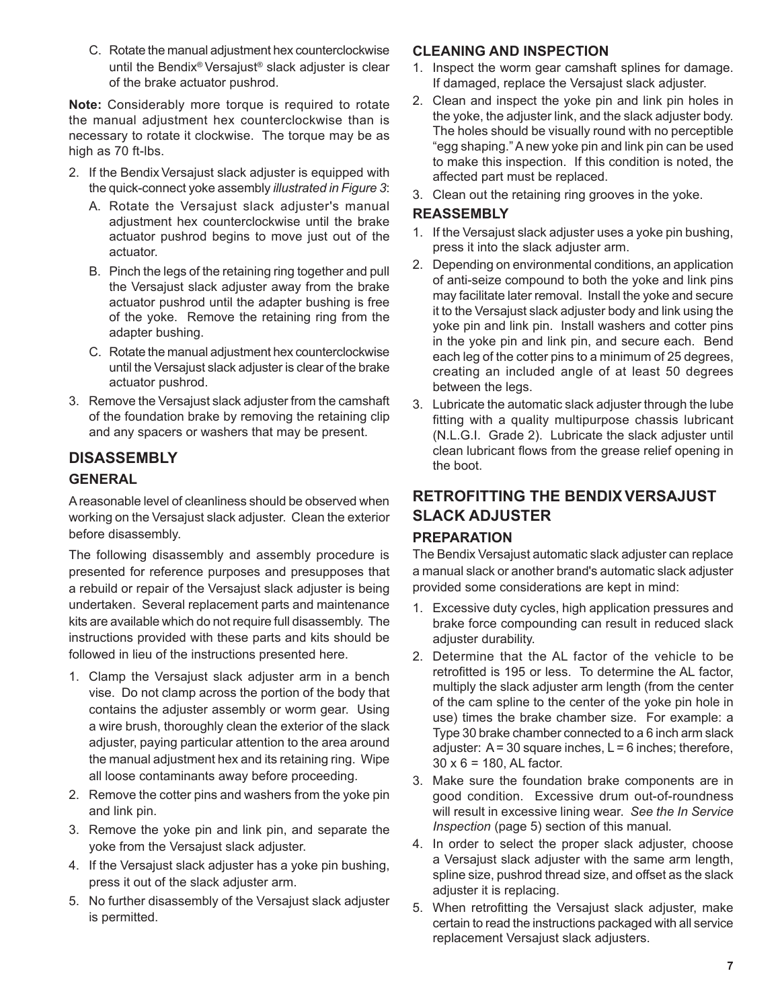C. Rotate the manual adjustment hex counterclockwise until the Bendix® Versajust® slack adjuster is clear of the brake actuator pushrod.

**Note:** Considerably more torque is required to rotate the manual adjustment hex counterclockwise than is necessary to rotate it clockwise. The torque may be as high as 70 ft-lbs.

- 2. If the Bendix Versajust slack adjuster is equipped with the quick-connect yoke assembly *illustrated in Figure 3*:
	- A. Rotate the Versajust slack adjuster's manual adjustment hex counterclockwise until the brake actuator pushrod begins to move just out of the actuator.
	- B. Pinch the legs of the retaining ring together and pull the Versajust slack adjuster away from the brake actuator pushrod until the adapter bushing is free of the yoke. Remove the retaining ring from the adapter bushing.
	- C. Rotate the manual adjustment hex counterclockwise until the Versajust slack adjuster is clear of the brake actuator pushrod.
- 3. Remove the Versajust slack adjuster from the camshaft of the foundation brake by removing the retaining clip and any spacers or washers that may be present.

## **DISASSEMBLY GENERAL**

A reasonable level of cleanliness should be observed when working on the Versajust slack adjuster. Clean the exterior before disassembly.

The following disassembly and assembly procedure is presented for reference purposes and presupposes that a rebuild or repair of the Versajust slack adjuster is being undertaken. Several replacement parts and maintenance kits are available which do not require full disassembly. The instructions provided with these parts and kits should be followed in lieu of the instructions presented here.

- 1. Clamp the Versajust slack adjuster arm in a bench vise. Do not clamp across the portion of the body that contains the adjuster assembly or worm gear. Using a wire brush, thoroughly clean the exterior of the slack adjuster, paying particular attention to the area around the manual adjustment hex and its retaining ring. Wipe all loose contaminants away before proceeding.
- 2. Remove the cotter pins and washers from the yoke pin and link pin.
- 3. Remove the yoke pin and link pin, and separate the yoke from the Versajust slack adjuster.
- 4. If the Versajust slack adjuster has a yoke pin bushing, press it out of the slack adjuster arm.
- 5. No further disassembly of the Versajust slack adjuster is permitted.

#### **CLEANING AND INSPECTION**

- 1. Inspect the worm gear camshaft splines for damage. If damaged, replace the Versajust slack adjuster.
- 2. Clean and inspect the yoke pin and link pin holes in the yoke, the adjuster link, and the slack adjuster body. The holes should be visually round with no perceptible "egg shaping." A new yoke pin and link pin can be used to make this inspection. If this condition is noted, the affected part must be replaced.
- 3. Clean out the retaining ring grooves in the yoke.

#### **REASSEMBLY**

- 1. If the Versajust slack adjuster uses a yoke pin bushing, press it into the slack adjuster arm.
- 2. Depending on environmental conditions, an application of anti-seize compound to both the yoke and link pins may facilitate later removal. Install the yoke and secure it to the Versajust slack adjuster body and link using the yoke pin and link pin. Install washers and cotter pins in the yoke pin and link pin, and secure each. Bend each leg of the cotter pins to a minimum of 25 degrees, creating an included angle of at least 50 degrees between the legs.
- 3. Lubricate the automatic slack adjuster through the lube fitting with a quality multipurpose chassis lubricant (N.L.G.I. Grade 2). Lubricate the slack adjuster until clean lubricant flows from the grease relief opening in the boot.

## **RETROFITTING THE BENDIXVERSAJUST SLACK ADJUSTER PREPARATION**

The Bendix Versajust automatic slack adjuster can replace a manual slack or another brand's automatic slack adjuster provided some considerations are kept in mind:

- 1. Excessive duty cycles, high application pressures and brake force compounding can result in reduced slack adjuster durability.
- 2. Determine that the AL factor of the vehicle to be retrofitted is 195 or less. To determine the AL factor, multiply the slack adjuster arm length (from the center of the cam spline to the center of the yoke pin hole in use) times the brake chamber size. For example: a Type 30 brake chamber connected to a 6 inch arm slack adjuster:  $A = 30$  square inches,  $L = 6$  inches; therefore, 30 x 6 = 180, AL factor.
- 3. Make sure the foundation brake components are in good condition. Excessive drum out-of-roundness will result in excessive lining wear. *See the In Service Inspection* (page 5) section of this manual*.*
- 4. In order to select the proper slack adjuster, choose a Versajust slack adjuster with the same arm length, spline size, pushrod thread size, and offset as the slack adjuster it is replacing.
- 5. When retrofitting the Versajust slack adjuster, make certain to read the instructions packaged with all service replacement Versajust slack adjusters.